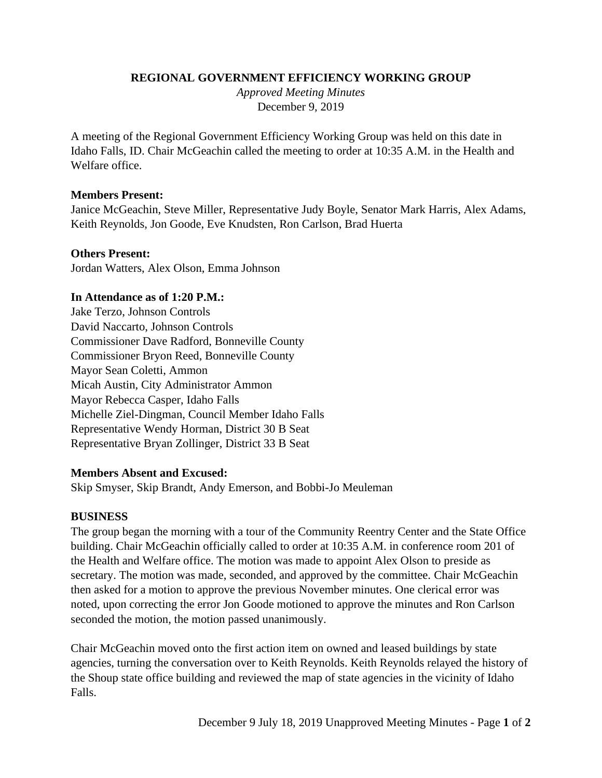# **REGIONAL GOVERNMENT EFFICIENCY WORKING GROUP**

*Approved Meeting Minutes*  December 9, 2019

A meeting of the Regional Government Efficiency Working Group was held on this date in Idaho Falls, ID. Chair McGeachin called the meeting to order at 10:35 A.M. in the Health and Welfare office.

#### **Members Present:**

Janice McGeachin, Steve Miller, Representative Judy Boyle, Senator Mark Harris, Alex Adams, Keith Reynolds, Jon Goode, Eve Knudsten, Ron Carlson, Brad Huerta

#### **Others Present:**

Jordan Watters, Alex Olson, Emma Johnson

### **In Attendance as of 1:20 P.M.:**

Jake Terzo, Johnson Controls David Naccarto, Johnson Controls Commissioner Dave Radford, Bonneville County Commissioner Bryon Reed, Bonneville County Mayor Sean Coletti, Ammon Micah Austin, City Administrator Ammon Mayor Rebecca Casper, Idaho Falls Michelle Ziel-Dingman, Council Member Idaho Falls Representative Wendy Horman, District 30 B Seat Representative Bryan Zollinger, District 33 B Seat

#### **Members Absent and Excused:**

Skip Smyser, Skip Brandt, Andy Emerson, and Bobbi-Jo Meuleman

# **BUSINESS**

The group began the morning with a tour of the Community Reentry Center and the State Office building. Chair McGeachin officially called to order at 10:35 A.M. in conference room 201 of the Health and Welfare office. The motion was made to appoint Alex Olson to preside as secretary. The motion was made, seconded, and approved by the committee. Chair McGeachin then asked for a motion to approve the previous November minutes. One clerical error was noted, upon correcting the error Jon Goode motioned to approve the minutes and Ron Carlson seconded the motion, the motion passed unanimously.

Chair McGeachin moved onto the first action item on owned and leased buildings by state agencies, turning the conversation over to Keith Reynolds. Keith Reynolds relayed the history of the Shoup state office building and reviewed the map of state agencies in the vicinity of Idaho Falls.